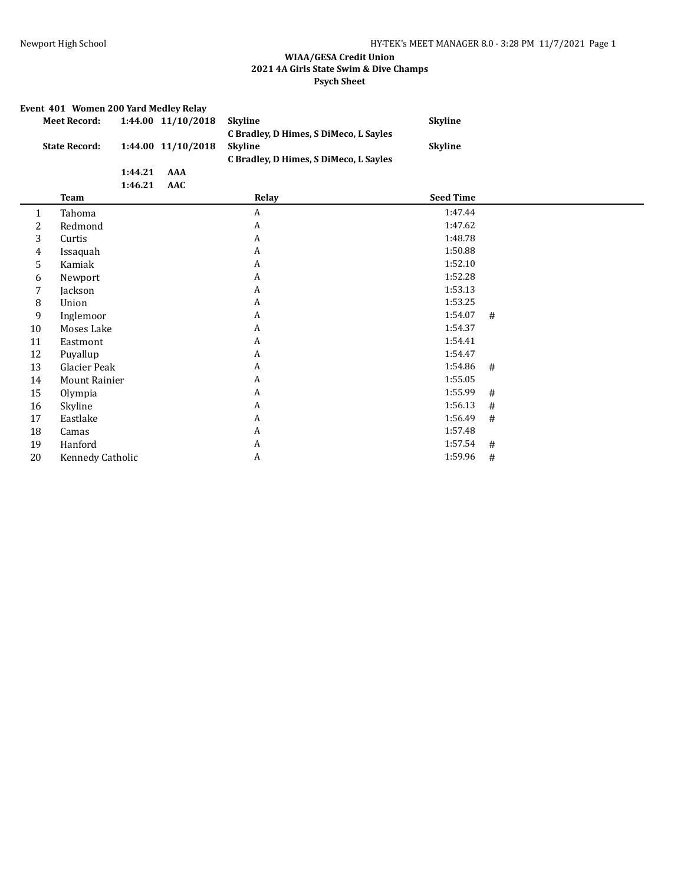|                      | Event 401 Women 200 Yard Medley Relay |         |                    |                                                                                                    |                  |      |  |  |
|----------------------|---------------------------------------|---------|--------------------|----------------------------------------------------------------------------------------------------|------------------|------|--|--|
|                      | <b>Meet Record:</b>                   |         | 1:44.00 11/10/2018 | <b>Skyline</b>                                                                                     | <b>Skyline</b>   |      |  |  |
| <b>State Record:</b> |                                       |         | 1:44.00 11/10/2018 | C Bradley, D Himes, S DiMeco, L Sayles<br><b>Skyline</b><br>C Bradley, D Himes, S DiMeco, L Sayles | <b>Skyline</b>   |      |  |  |
|                      |                                       | 1:44.21 | <b>AAA</b>         |                                                                                                    |                  |      |  |  |
|                      |                                       | 1:46.21 | <b>AAC</b>         |                                                                                                    |                  |      |  |  |
|                      | <b>Team</b>                           |         |                    | Relay                                                                                              | <b>Seed Time</b> |      |  |  |
| $\mathbf{1}$         | Tahoma                                |         |                    | $\boldsymbol{A}$                                                                                   | 1:47.44          |      |  |  |
| 2                    | Redmond                               |         |                    | A                                                                                                  | 1:47.62          |      |  |  |
| 3                    | Curtis                                |         |                    | A                                                                                                  | 1:48.78          |      |  |  |
| 4                    | Issaquah                              |         |                    | A                                                                                                  | 1:50.88          |      |  |  |
| 5                    | Kamiak                                |         |                    | $\boldsymbol{A}$                                                                                   | 1:52.10          |      |  |  |
| 6                    | Newport                               |         |                    | A                                                                                                  | 1:52.28          |      |  |  |
| 7                    | Jackson                               |         |                    | A                                                                                                  | 1:53.13          |      |  |  |
| 8                    | Union                                 |         |                    | A                                                                                                  | 1:53.25          |      |  |  |
| 9                    | Inglemoor                             |         |                    | A                                                                                                  | 1:54.07          | #    |  |  |
| 10                   | Moses Lake                            |         |                    | A                                                                                                  | 1:54.37          |      |  |  |
| 11                   | Eastmont                              |         |                    | A                                                                                                  | 1:54.41          |      |  |  |
| 12                   | Puyallup                              |         |                    | A                                                                                                  | 1:54.47          |      |  |  |
| 13                   | Glacier Peak                          |         |                    | A                                                                                                  | 1:54.86          | #    |  |  |
| 14                   | <b>Mount Rainier</b>                  |         |                    | A                                                                                                  | 1:55.05          |      |  |  |
| 15                   | Olympia                               |         |                    | A                                                                                                  | 1:55.99          | #    |  |  |
| 16                   | Skyline                               |         |                    | $\boldsymbol{A}$                                                                                   | 1:56.13          | #    |  |  |
| 17                   | Eastlake                              |         |                    | A                                                                                                  | 1:56.49          | #    |  |  |
| 18                   | Camas                                 |         |                    | A                                                                                                  | 1:57.48          |      |  |  |
| 19                   | Hanford                               |         |                    | A                                                                                                  | 1:57.54          | #    |  |  |
| 20                   | Kennedy Catholic                      |         |                    | A                                                                                                  | 1:59.96          | $\#$ |  |  |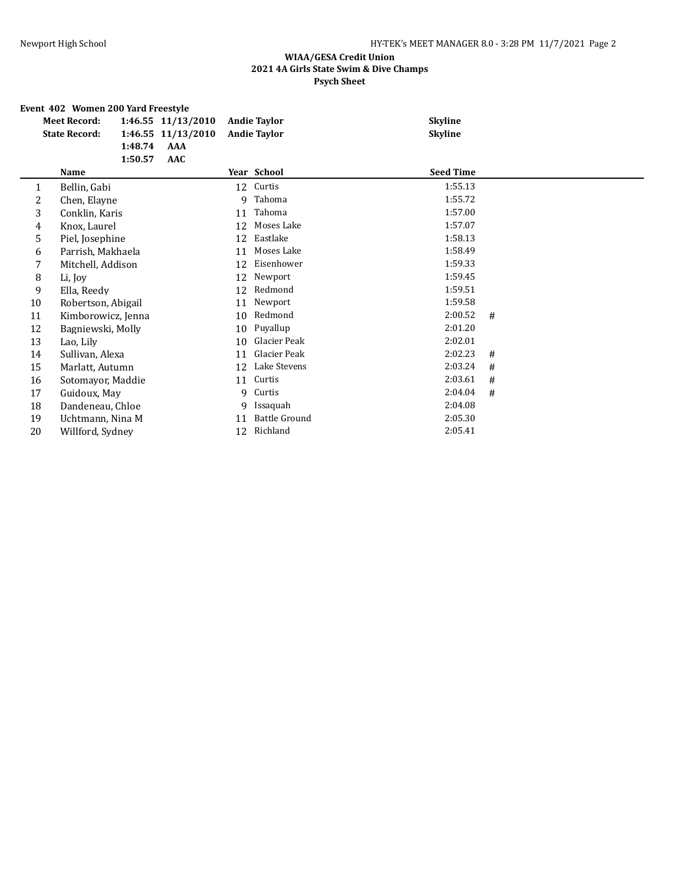| Event 402 Women 200 Yard Freestyle |  |  |  |  |  |  |
|------------------------------------|--|--|--|--|--|--|
|------------------------------------|--|--|--|--|--|--|

| <b>Meet Record:</b> |                      | 1:46.55 11/13/2010                                                                                                                                                                                                                                                                                                                        |                                                | <b>Andie Taylor</b>  |                                                               | <b>Skyline</b> |                                                   |  |
|---------------------|----------------------|-------------------------------------------------------------------------------------------------------------------------------------------------------------------------------------------------------------------------------------------------------------------------------------------------------------------------------------------|------------------------------------------------|----------------------|---------------------------------------------------------------|----------------|---------------------------------------------------|--|
|                     |                      |                                                                                                                                                                                                                                                                                                                                           |                                                |                      |                                                               | <b>Skyline</b> |                                                   |  |
|                     |                      |                                                                                                                                                                                                                                                                                                                                           |                                                |                      |                                                               |                |                                                   |  |
|                     |                      |                                                                                                                                                                                                                                                                                                                                           |                                                |                      |                                                               |                |                                                   |  |
| Name                |                      |                                                                                                                                                                                                                                                                                                                                           |                                                |                      |                                                               |                |                                                   |  |
| Bellin, Gabi        |                      |                                                                                                                                                                                                                                                                                                                                           |                                                | Curtis               |                                                               | 1:55.13        |                                                   |  |
|                     |                      |                                                                                                                                                                                                                                                                                                                                           |                                                | Tahoma               |                                                               | 1:55.72        |                                                   |  |
|                     |                      |                                                                                                                                                                                                                                                                                                                                           | 11                                             | Tahoma               |                                                               | 1:57.00        |                                                   |  |
|                     |                      |                                                                                                                                                                                                                                                                                                                                           | 12                                             | Moses Lake           |                                                               | 1:57.07        |                                                   |  |
|                     |                      |                                                                                                                                                                                                                                                                                                                                           | 12                                             | Eastlake             |                                                               | 1:58.13        |                                                   |  |
|                     |                      |                                                                                                                                                                                                                                                                                                                                           | 11                                             | Moses Lake           |                                                               | 1:58.49        |                                                   |  |
|                     |                      |                                                                                                                                                                                                                                                                                                                                           | 12                                             | Eisenhower           |                                                               | 1:59.33        |                                                   |  |
| Li, Joy             |                      |                                                                                                                                                                                                                                                                                                                                           | 12                                             | Newport              |                                                               | 1:59.45        |                                                   |  |
| Ella, Reedy         |                      |                                                                                                                                                                                                                                                                                                                                           | 12                                             | Redmond              |                                                               | 1:59.51        |                                                   |  |
|                     |                      |                                                                                                                                                                                                                                                                                                                                           | 11                                             | Newport              |                                                               | 1:59.58        |                                                   |  |
|                     |                      |                                                                                                                                                                                                                                                                                                                                           | 10                                             | Redmond              |                                                               | 2:00.52        | #                                                 |  |
|                     |                      |                                                                                                                                                                                                                                                                                                                                           | 10                                             | Puyallup             |                                                               | 2:01.20        |                                                   |  |
| Lao, Lily           |                      |                                                                                                                                                                                                                                                                                                                                           | 10                                             |                      |                                                               |                |                                                   |  |
|                     |                      |                                                                                                                                                                                                                                                                                                                                           | 11                                             | Glacier Peak         |                                                               |                | #                                                 |  |
|                     |                      |                                                                                                                                                                                                                                                                                                                                           | 12                                             | Lake Stevens         |                                                               | 2:03.24        | #                                                 |  |
|                     |                      |                                                                                                                                                                                                                                                                                                                                           | 11                                             | Curtis               |                                                               |                | #                                                 |  |
|                     |                      |                                                                                                                                                                                                                                                                                                                                           | 9                                              | Curtis               |                                                               | 2:04.04        | #                                                 |  |
|                     |                      |                                                                                                                                                                                                                                                                                                                                           | 9                                              | Issaquah             |                                                               | 2:04.08        |                                                   |  |
|                     |                      |                                                                                                                                                                                                                                                                                                                                           | 11                                             | <b>Battle Ground</b> |                                                               | 2:05.30        |                                                   |  |
|                     |                      |                                                                                                                                                                                                                                                                                                                                           | 12                                             | Richland             |                                                               | 2:05.41        |                                                   |  |
|                     | <b>State Record:</b> | 1:48.74<br>1:50.57<br>Chen, Elayne<br>Conklin, Karis<br>Knox, Laurel<br>Piel, Josephine<br>Parrish, Makhaela<br>Mitchell, Addison<br>Robertson, Abigail<br>Kimborowicz, Jenna<br>Bagniewski, Molly<br>Sullivan, Alexa<br>Marlatt, Autumn<br>Sotomayor, Maddie<br>Guidoux, May<br>Dandeneau, Chloe<br>Uchtmann, Nina M<br>Willford, Sydney | 1:46.55 11/13/2010<br><b>AAA</b><br><b>AAC</b> |                      | <b>Andie Taylor</b><br>Year School<br>12<br>9<br>Glacier Peak |                | <b>Seed Time</b><br>2:02.01<br>2:02.23<br>2:03.61 |  |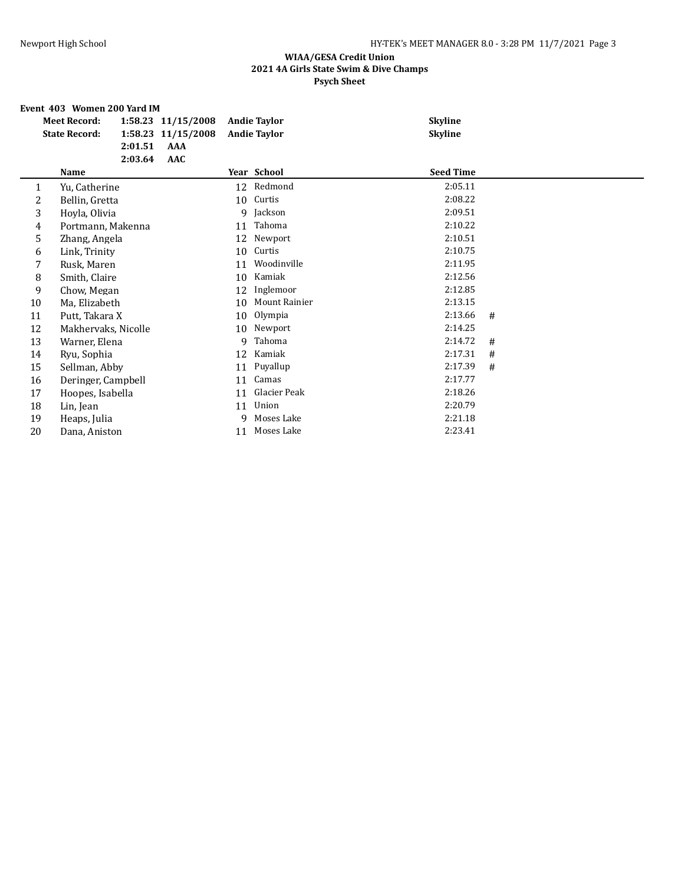#### **Event 403 Women 200 Yard IM**

|    | <b>Meet Record:</b><br><b>State Record:</b> | 2:01.51<br>2:03.64 | 1:58.23 11/15/2008<br>1:58.23 11/15/2008<br>AAA<br><b>AAC</b> |    | <b>Andie Taylor</b><br><b>Andie Taylor</b> | <b>Skyline</b><br><b>Skyline</b> |   |
|----|---------------------------------------------|--------------------|---------------------------------------------------------------|----|--------------------------------------------|----------------------------------|---|
|    | Name                                        |                    |                                                               |    | Year School                                | <b>Seed Time</b>                 |   |
| 1  | Yu, Catherine                               |                    |                                                               |    | 12 Redmond                                 | 2:05.11                          |   |
| 2  | Bellin, Gretta                              |                    |                                                               | 10 | Curtis                                     | 2:08.22                          |   |
| 3  | Hoyla, Olivia                               |                    |                                                               | 9  | Jackson                                    | 2:09.51                          |   |
| 4  | Portmann, Makenna                           |                    |                                                               | 11 | Tahoma                                     | 2:10.22                          |   |
| 5  | Zhang, Angela                               |                    |                                                               | 12 | Newport                                    | 2:10.51                          |   |
| 6  | Link, Trinity                               |                    |                                                               | 10 | Curtis                                     | 2:10.75                          |   |
| 7  | Rusk, Maren                                 |                    |                                                               | 11 | Woodinville                                | 2:11.95                          |   |
| 8  | Smith, Claire                               |                    |                                                               | 10 | Kamiak                                     | 2:12.56                          |   |
| 9  | Chow, Megan                                 |                    |                                                               | 12 | Inglemoor                                  | 2:12.85                          |   |
| 10 | Ma, Elizabeth                               |                    |                                                               | 10 | Mount Rainier                              | 2:13.15                          |   |
| 11 | Putt, Takara X                              |                    |                                                               | 10 | Olympia                                    | 2:13.66                          | # |
| 12 | Makhervaks, Nicolle                         |                    |                                                               | 10 | Newport                                    | 2:14.25                          |   |
| 13 | Warner, Elena                               |                    |                                                               | 9  | Tahoma                                     | 2:14.72                          | # |
| 14 | Ryu, Sophia                                 |                    |                                                               | 12 | Kamiak                                     | 2:17.31                          | # |
| 15 | Sellman, Abby                               |                    |                                                               | 11 | Puyallup                                   | 2:17.39                          | # |
| 16 | Deringer, Campbell                          |                    |                                                               | 11 | Camas                                      | 2:17.77                          |   |
| 17 | Hoopes, Isabella                            |                    |                                                               | 11 | Glacier Peak                               | 2:18.26                          |   |
| 18 | Lin, Jean                                   |                    |                                                               | 11 | Union                                      | 2:20.79                          |   |
| 19 | Heaps, Julia                                |                    |                                                               | 9  | Moses Lake                                 | 2:21.18                          |   |
| 20 | Dana, Aniston                               |                    |                                                               | 11 | Moses Lake                                 | 2:23.41                          |   |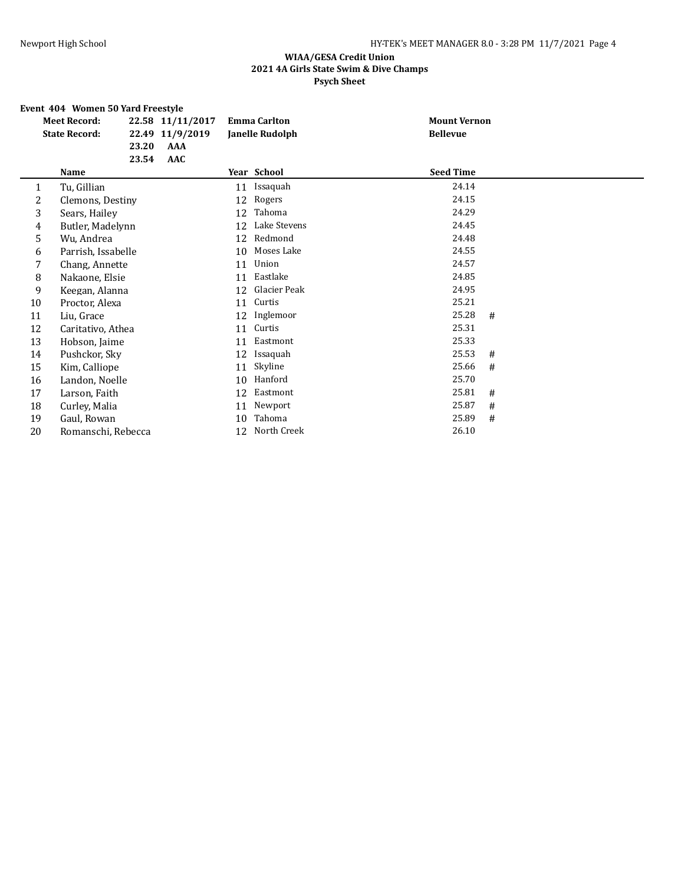# **Event 404 Women 50 Yard Freestyle**

| <b>Meet Record:</b><br><b>State Record:</b> |                    | 22.58 11/11/2017<br>22.49 11/9/2019 | <b>Emma Carlton</b><br><b>Janelle Rudolph</b> |    | <b>Mount Vernon</b><br><b>Bellevue</b> |                  |       |   |  |
|---------------------------------------------|--------------------|-------------------------------------|-----------------------------------------------|----|----------------------------------------|------------------|-------|---|--|
|                                             |                    | 23.20                               | AAA                                           |    |                                        |                  |       |   |  |
|                                             | Name               | 23.54                               | AAC                                           |    |                                        | <b>Seed Time</b> |       |   |  |
|                                             |                    |                                     |                                               |    | Year School                            |                  |       |   |  |
| 1                                           | Tu, Gillian        |                                     |                                               | 11 | Issaquah                               |                  | 24.14 |   |  |
| 2                                           | Clemons, Destiny   |                                     |                                               | 12 | Rogers                                 |                  | 24.15 |   |  |
| 3                                           | Sears, Hailey      |                                     |                                               | 12 | Tahoma                                 |                  | 24.29 |   |  |
| 4                                           | Butler, Madelynn   |                                     |                                               | 12 | Lake Stevens                           |                  | 24.45 |   |  |
| 5                                           | Wu, Andrea         |                                     |                                               | 12 | Redmond                                |                  | 24.48 |   |  |
| 6                                           | Parrish, Issabelle |                                     |                                               | 10 | Moses Lake                             |                  | 24.55 |   |  |
| 7                                           | Chang, Annette     |                                     |                                               | 11 | Union                                  |                  | 24.57 |   |  |
| 8                                           | Nakaone, Elsie     |                                     |                                               | 11 | Eastlake                               |                  | 24.85 |   |  |
| 9                                           | Keegan, Alanna     |                                     |                                               | 12 | Glacier Peak                           |                  | 24.95 |   |  |
| 10                                          | Proctor, Alexa     |                                     |                                               | 11 | Curtis                                 |                  | 25.21 |   |  |
| 11                                          | Liu, Grace         |                                     |                                               | 12 | Inglemoor                              |                  | 25.28 | # |  |
| 12                                          | Caritativo, Athea  |                                     |                                               | 11 | Curtis                                 |                  | 25.31 |   |  |
| 13                                          | Hobson, Jaime      |                                     |                                               | 11 | Eastmont                               |                  | 25.33 |   |  |
| 14                                          | Pushckor, Sky      |                                     |                                               | 12 | Issaquah                               |                  | 25.53 | # |  |
| 15                                          | Kim, Calliope      |                                     |                                               | 11 | Skyline                                |                  | 25.66 | # |  |
| 16                                          | Landon, Noelle     |                                     |                                               | 10 | Hanford                                |                  | 25.70 |   |  |
| 17                                          | Larson, Faith      |                                     |                                               | 12 | Eastmont                               |                  | 25.81 | # |  |
| 18                                          | Curley, Malia      |                                     |                                               | 11 | Newport                                |                  | 25.87 | # |  |
| 19                                          | Gaul, Rowan        |                                     |                                               | 10 | Tahoma                                 |                  | 25.89 | # |  |
| 20                                          | Romanschi, Rebecca |                                     |                                               | 12 | North Creek                            |                  | 26.10 |   |  |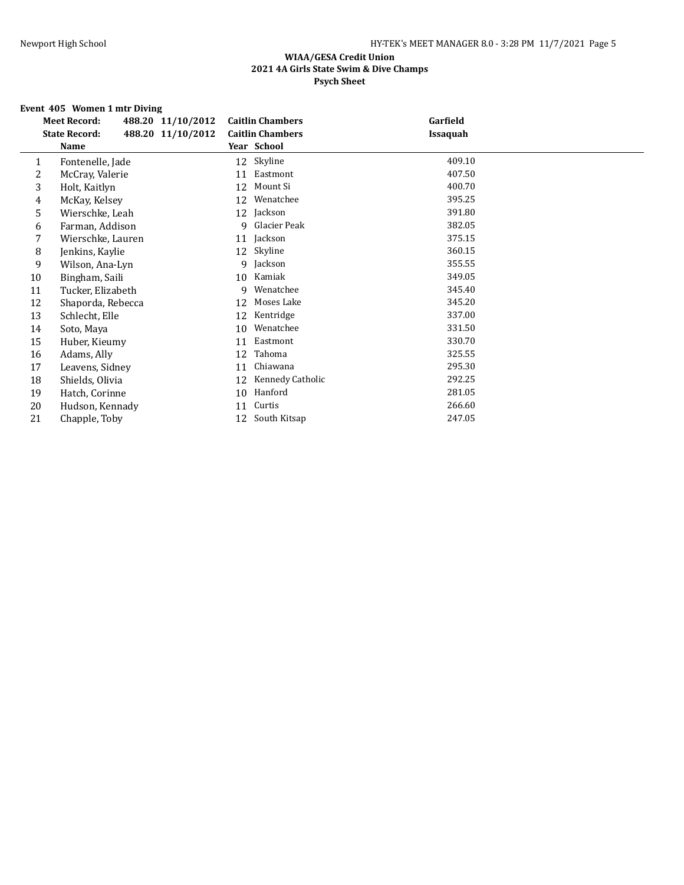# **Event 405 Women 1 mtr Diving**

| <b>Meet Record:</b>  |                                                                                                                                                                                |                                        | Garfield                                                                |  |
|----------------------|--------------------------------------------------------------------------------------------------------------------------------------------------------------------------------|----------------------------------------|-------------------------------------------------------------------------|--|
| <b>State Record:</b> |                                                                                                                                                                                |                                        | <b>Issaquah</b>                                                         |  |
| Name                 |                                                                                                                                                                                |                                        |                                                                         |  |
|                      |                                                                                                                                                                                | Skyline                                | 409.10                                                                  |  |
| McCray, Valerie      | 11                                                                                                                                                                             | Eastmont                               | 407.50                                                                  |  |
| Holt, Kaitlyn        | 12                                                                                                                                                                             | Mount Si                               | 400.70                                                                  |  |
| McKay, Kelsey        | 12                                                                                                                                                                             | Wenatchee                              | 395.25                                                                  |  |
|                      | 12                                                                                                                                                                             | Jackson                                | 391.80                                                                  |  |
|                      | 9                                                                                                                                                                              | Glacier Peak                           | 382.05                                                                  |  |
|                      | 11                                                                                                                                                                             | Jackson                                | 375.15                                                                  |  |
| Jenkins, Kaylie      | 12                                                                                                                                                                             | Skyline                                | 360.15                                                                  |  |
|                      | 9                                                                                                                                                                              | Jackson                                | 355.55                                                                  |  |
| Bingham, Saili       | 10                                                                                                                                                                             | Kamiak                                 | 349.05                                                                  |  |
|                      | 9                                                                                                                                                                              | Wenatchee                              | 345.40                                                                  |  |
|                      | 12                                                                                                                                                                             | Moses Lake                             | 345.20                                                                  |  |
| Schlecht, Elle       | 12                                                                                                                                                                             | Kentridge                              | 337.00                                                                  |  |
| Soto, Maya           | 10                                                                                                                                                                             | Wenatchee                              | 331.50                                                                  |  |
| Huber, Kieumy        | 11                                                                                                                                                                             | Eastmont                               | 330.70                                                                  |  |
| Adams, Ally          | 12                                                                                                                                                                             | Tahoma                                 | 325.55                                                                  |  |
|                      | 11                                                                                                                                                                             | Chiawana                               | 295.30                                                                  |  |
| Shields, Olivia      | 12                                                                                                                                                                             | Kennedy Catholic                       | 292.25                                                                  |  |
| Hatch, Corinne       | 10                                                                                                                                                                             | Hanford                                | 281.05                                                                  |  |
|                      | 11                                                                                                                                                                             | Curtis                                 | 266.60                                                                  |  |
| Chapple, Toby        | 12                                                                                                                                                                             | South Kitsap                           | 247.05                                                                  |  |
|                      | Fontenelle, Jade<br>Wierschke, Leah<br>Farman, Addison<br>Wierschke, Lauren<br>Wilson, Ana-Lyn<br>Tucker, Elizabeth<br>Shaporda, Rebecca<br>Leavens, Sidney<br>Hudson, Kennady | 488.20 11/10/2012<br>488.20 11/10/2012 | <b>Caitlin Chambers</b><br><b>Caitlin Chambers</b><br>Year School<br>12 |  |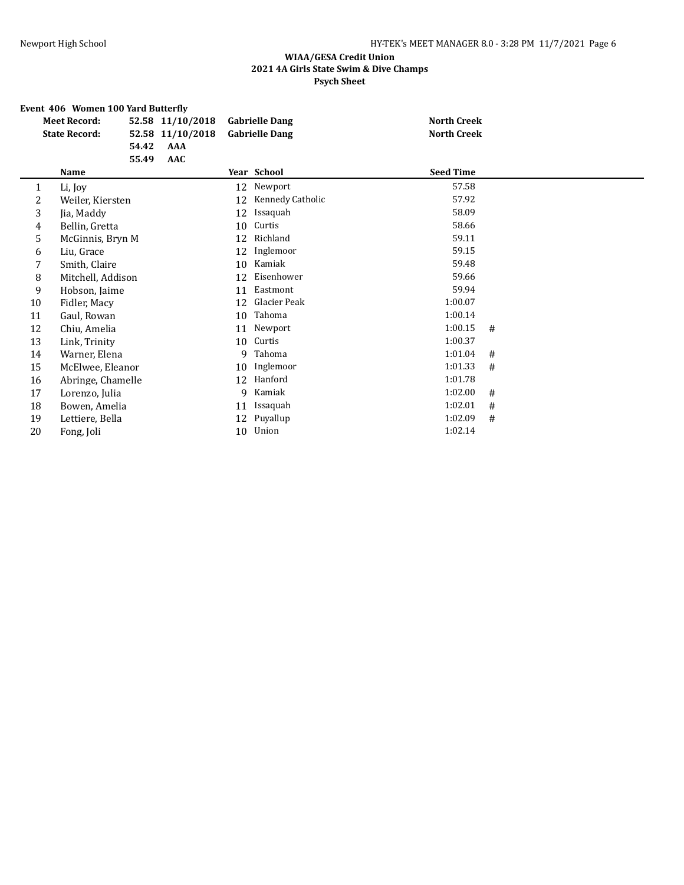# **Event 406 Women 100 Yard Butterfly**

|    | <b>Meet Record:</b>  |       | 52.58 11/10/2018 | <b>Gabrielle Dang</b> |                  | <b>North Creek</b> |   |
|----|----------------------|-------|------------------|-----------------------|------------------|--------------------|---|
|    | <b>State Record:</b> |       | 52.58 11/10/2018 | <b>Gabrielle Dang</b> |                  | <b>North Creek</b> |   |
|    |                      | 54.42 | AAA              |                       |                  |                    |   |
|    |                      | 55.49 | AAC              |                       |                  |                    |   |
|    | <b>Name</b>          |       |                  |                       | Year School      | <b>Seed Time</b>   |   |
| 1  | Li, Joy              |       |                  | 12                    | Newport          | 57.58              |   |
| 2  | Weiler, Kiersten     |       |                  | 12                    | Kennedy Catholic | 57.92              |   |
| 3  | Jia, Maddy           |       |                  | 12                    | Issaquah         | 58.09              |   |
| 4  | Bellin, Gretta       |       |                  | 10                    | Curtis           | 58.66              |   |
| 5  | McGinnis, Bryn M     |       |                  | 12                    | Richland         | 59.11              |   |
| 6  | Liu, Grace           |       |                  | 12                    | Inglemoor        | 59.15              |   |
| 7  | Smith, Claire        |       |                  | 10                    | Kamiak           | 59.48              |   |
| 8  | Mitchell, Addison    |       |                  | 12                    | Eisenhower       | 59.66              |   |
| 9  | Hobson, Jaime        |       |                  | 11                    | Eastmont         | 59.94              |   |
| 10 | Fidler, Macy         |       |                  | 12                    | Glacier Peak     | 1:00.07            |   |
| 11 | Gaul, Rowan          |       |                  | 10                    | Tahoma           | 1:00.14            |   |
| 12 | Chiu, Amelia         |       |                  | 11                    | Newport          | 1:00.15            | # |
| 13 | Link, Trinity        |       |                  | 10                    | Curtis           | 1:00.37            |   |
| 14 | Warner, Elena        |       |                  | 9                     | Tahoma           | 1:01.04            | # |
| 15 | McElwee, Eleanor     |       |                  | 10                    | Inglemoor        | 1:01.33            | # |
| 16 | Abringe, Chamelle    |       |                  | 12                    | Hanford          | 1:01.78            |   |
| 17 | Lorenzo, Julia       |       |                  | 9                     | Kamiak           | 1:02.00            | # |
| 18 | Bowen, Amelia        |       |                  | 11                    | Issaquah         | 1:02.01            | # |
| 19 | Lettiere, Bella      |       |                  | 12                    | Puyallup         | 1:02.09            | # |
| 20 | Fong, Joli           |       |                  | 10                    | Union            | 1:02.14            |   |
|    |                      |       |                  |                       |                  |                    |   |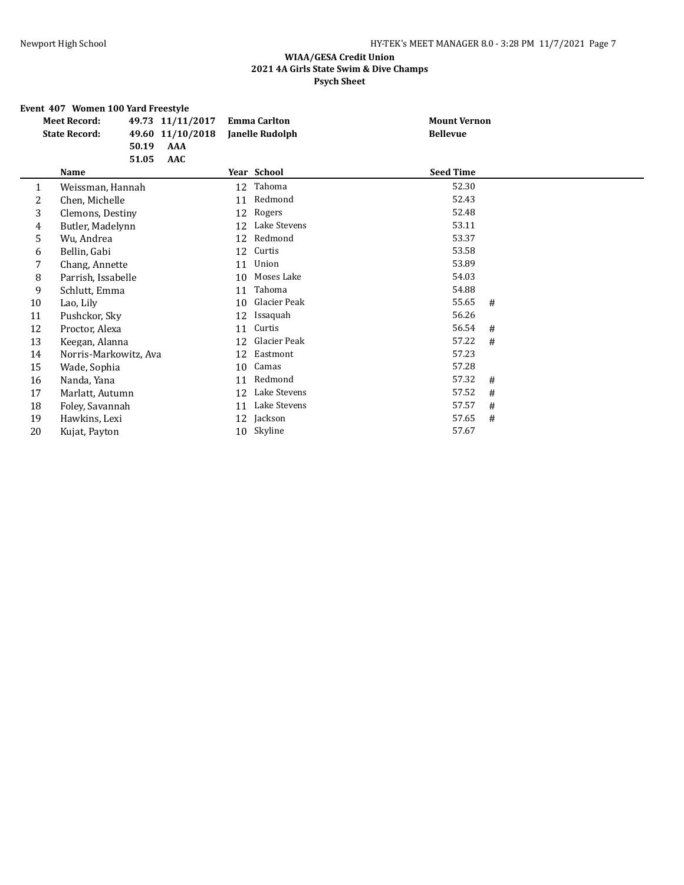# **Event 407 Women 100 Yard Freestyle<br>Meet Record:** 49.73 11/11/

|    | LVCHt TV/ WOHICH TOO IGIU I I ICCSIVIC |                  |                     |                     |   |
|----|----------------------------------------|------------------|---------------------|---------------------|---|
|    | <b>Meet Record:</b>                    | 49.73 11/11/2017 | <b>Emma Carlton</b> | <b>Mount Vernon</b> |   |
|    | <b>State Record:</b>                   | 49.60 11/10/2018 | Janelle Rudolph     | <b>Bellevue</b>     |   |
|    | 50.19                                  | <b>AAA</b>       |                     |                     |   |
|    | 51.05                                  | <b>AAC</b>       |                     |                     |   |
|    | Name                                   |                  | Year School         | <b>Seed Time</b>    |   |
| 1  | Weissman, Hannah                       | 12               | Tahoma              | 52.30               |   |
| 2  | Chen, Michelle                         | 11               | Redmond             | 52.43               |   |
| 3  | Clemons, Destiny                       | 12               | Rogers              | 52.48               |   |
| 4  | Butler, Madelynn                       | 12               | Lake Stevens        | 53.11               |   |
| 5  | Wu, Andrea                             | 12               | Redmond             | 53.37               |   |
| 6  | Bellin, Gabi                           | 12               | Curtis              | 53.58               |   |
| 7  | Chang, Annette                         | 11               | Union               | 53.89               |   |
| 8  | Parrish, Issabelle                     | 10               | Moses Lake          | 54.03               |   |
| 9  | Schlutt, Emma                          | 11               | Tahoma              | 54.88               |   |
| 10 | Lao, Lily                              | 10               | Glacier Peak        | 55.65               | # |
| 11 | Pushckor, Sky                          | 12               | Issaquah            | 56.26               |   |
| 12 | Proctor, Alexa                         | 11               | Curtis              | 56.54               | # |
| 13 | Keegan, Alanna                         | 12               | Glacier Peak        | 57.22               | # |
| 14 | Norris-Markowitz, Ava                  | 12               | Eastmont            | 57.23               |   |
| 15 | Wade, Sophia                           | 10               | Camas               | 57.28               |   |
| 16 | Nanda, Yana                            | 11               | Redmond             | 57.32               | # |
| 17 | Marlatt, Autumn                        | 12               | Lake Stevens        | 57.52               | # |
| 18 | Foley, Savannah                        | 11               | Lake Stevens        | 57.57               | # |
| 19 | Hawkins, Lexi                          | 12               | Jackson             | 57.65               | # |
| 20 | Kujat, Payton                          | 10               | Skyline             | 57.67               |   |
|    |                                        |                  |                     |                     |   |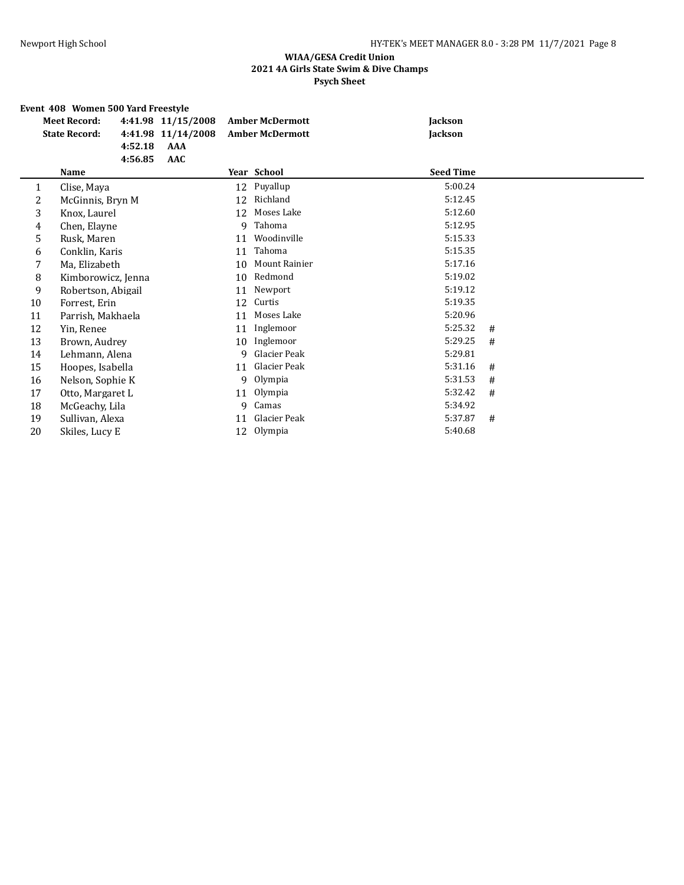### **Event 408 Women 500 Yard Freestyle Meet Record: 4:41.98 11/15/2008 Amber McDermott Jackson State Record: 4:41.98 11/14/2008 Amber McDermott Jackson 4:52.18 AAA 4:56.85 AAC Name Year School Seed Time** 1 Clise, Maya 12 Puyallup 5:00.24<br>2 McGinnis, Bryn M 12 Richland 5:12.45 2 McGinnis, Bryn M 12 Richland 5:12.45 3 Knox, Laurel 12 Moses Lake 5:12.60 4 Chen, Elayne 5:12.95 5 Rusk, Maren 11 Woodinville 5:15.33 6 Conklin, Karis 11 Tahoma 5:15.35 7 Ma, Elizabeth 10 Mount Rainier 5:17.16 8 Kimborowicz, Jenna 10 Redmond 5:19.02 9 Robertson, Abigail 11 Newport 5:19.12<br>12 Curtis 12 Curtis 5:19.35 10 Forrest, Erin 12 Curtis 12 Curtis 5:19.35 11 Parrish, Makhaela 11 Moses Lake 5:20.96 12 Yin, Renee 11 Inglemoor 5:25.32 # 13 Brown, Audrey 10 Inglemoor 5:29.25 # 14 Lehmann, Alena 9 Glacier Peak 5:29.81 15 Hoopes, Isabella 11 Glacier Peak 5:31.16 # 16 Nelson, Sophie K 9 Olympia 3:31.53 # 5:31.53 \$<br>17 Otto, Margaret L 11 Olympia 3:32.42 # 5:32.42 \$ 17 Otto, Margaret L 11 Olympia 11 Olympia 5:32.42 # 5:32.42 = 5:34.92 5:34.92 18 McGeachy, Lila 19 Sullivan, Alexa 11 Glacier Peak 5:37.87 # 20 Skiles, Lucy E 12 Olympia 5:40.68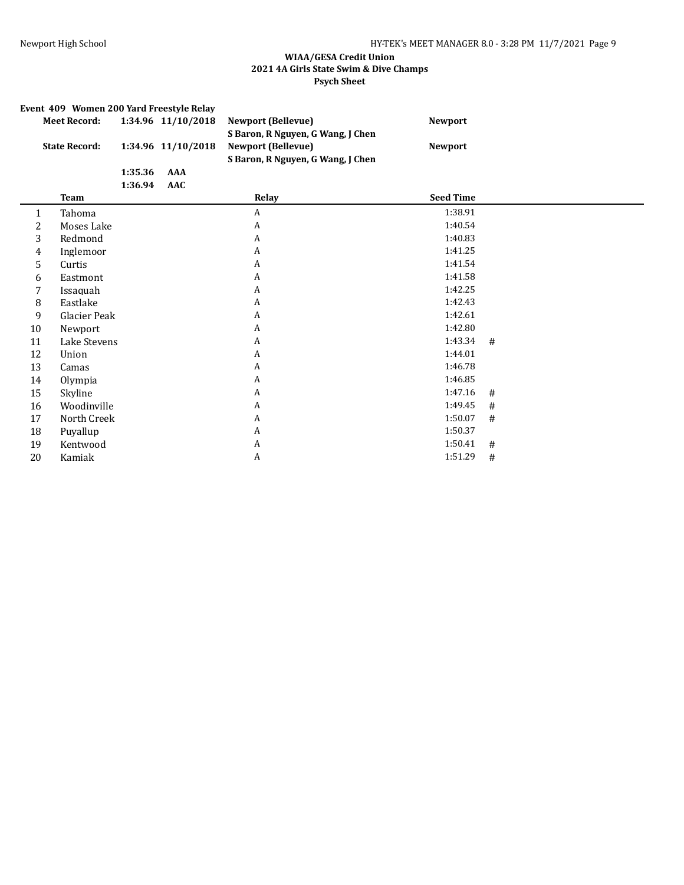|              | Event 409 Women 200 Yard Freestyle Relay |                    |                    |                                                                                                     |                  |   |  |  |  |  |  |  |
|--------------|------------------------------------------|--------------------|--------------------|-----------------------------------------------------------------------------------------------------|------------------|---|--|--|--|--|--|--|
|              | <b>Meet Record:</b>                      |                    | 1:34.96 11/10/2018 | <b>Newport (Bellevue)</b>                                                                           | <b>Newport</b>   |   |  |  |  |  |  |  |
|              | <b>State Record:</b>                     |                    | 1:34.96 11/10/2018 | S Baron, R Nguyen, G Wang, J Chen<br><b>Newport (Bellevue)</b><br>S Baron, R Nguyen, G Wang, J Chen | <b>Newport</b>   |   |  |  |  |  |  |  |
|              |                                          | 1:35.36<br>1:36.94 | AAA<br>AAC         |                                                                                                     |                  |   |  |  |  |  |  |  |
|              | <b>Team</b>                              |                    |                    | Relay                                                                                               | <b>Seed Time</b> |   |  |  |  |  |  |  |
| $\mathbf{1}$ | Tahoma                                   |                    |                    | $\boldsymbol{A}$                                                                                    | 1:38.91          |   |  |  |  |  |  |  |
| 2            | Moses Lake                               |                    |                    | A                                                                                                   | 1:40.54          |   |  |  |  |  |  |  |
| 3            | Redmond                                  |                    |                    | A                                                                                                   | 1:40.83          |   |  |  |  |  |  |  |
| 4            | Inglemoor                                |                    |                    | A                                                                                                   | 1:41.25          |   |  |  |  |  |  |  |
| 5            | Curtis                                   |                    |                    | A                                                                                                   | 1:41.54          |   |  |  |  |  |  |  |
| 6            | Eastmont                                 |                    |                    | A                                                                                                   | 1:41.58          |   |  |  |  |  |  |  |
| 7            | Issaquah                                 |                    |                    | A                                                                                                   | 1:42.25          |   |  |  |  |  |  |  |
| 8            | Eastlake                                 |                    |                    | A                                                                                                   | 1:42.43          |   |  |  |  |  |  |  |
| 9            | Glacier Peak                             |                    |                    | A                                                                                                   | 1:42.61          |   |  |  |  |  |  |  |
| 10           | Newport                                  |                    |                    | A                                                                                                   | 1:42.80          |   |  |  |  |  |  |  |
| 11           | Lake Stevens                             |                    |                    | A                                                                                                   | 1:43.34          | # |  |  |  |  |  |  |
| 12           | Union                                    |                    |                    | A                                                                                                   | 1:44.01          |   |  |  |  |  |  |  |
| 13           | Camas                                    |                    |                    | A                                                                                                   | 1:46.78          |   |  |  |  |  |  |  |
| 14           | Olympia                                  |                    |                    | A                                                                                                   | 1:46.85          |   |  |  |  |  |  |  |
| 15           | Skyline                                  |                    |                    | A                                                                                                   | 1:47.16          | # |  |  |  |  |  |  |
| 16           | Woodinville                              |                    |                    | A                                                                                                   | 1:49.45          | # |  |  |  |  |  |  |
| 17           | North Creek                              |                    |                    | A                                                                                                   | 1:50.07          | # |  |  |  |  |  |  |
| 18           | Puyallup                                 |                    |                    | A                                                                                                   | 1:50.37          |   |  |  |  |  |  |  |
| 19           | Kentwood                                 |                    |                    | A                                                                                                   | 1:50.41          | # |  |  |  |  |  |  |
| 20           | Kamiak                                   |                    |                    | A                                                                                                   | 1:51.29          | # |  |  |  |  |  |  |
|              |                                          |                    |                    |                                                                                                     |                  |   |  |  |  |  |  |  |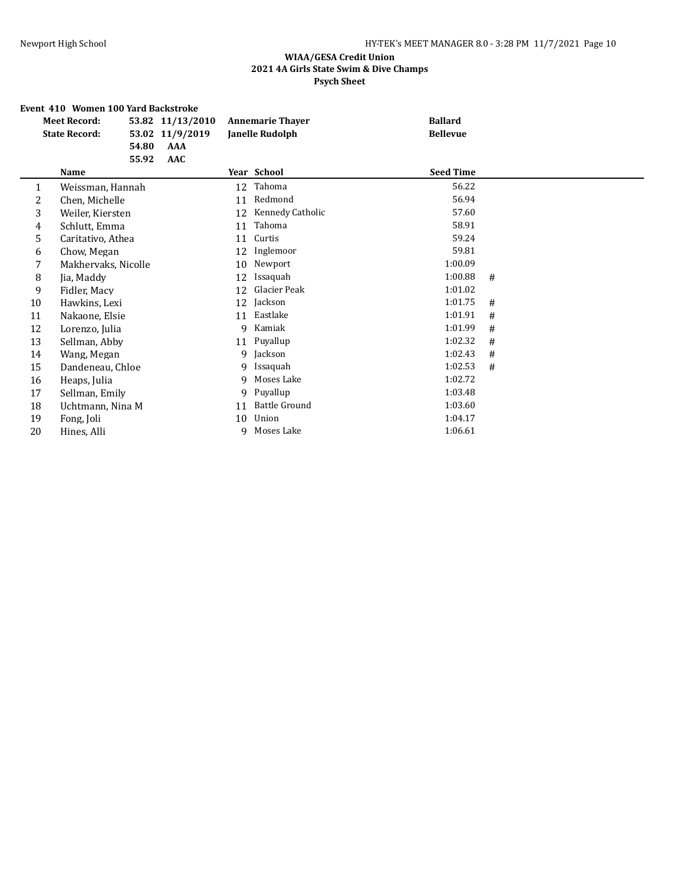## **Event 410 Women 100 Yard Backstroke**

|    | <b>Meet Record:</b>  |       | 53.82 11/13/2010 | <b>Annemarie Thaver</b> |                      | <b>Ballard</b>   |   |
|----|----------------------|-------|------------------|-------------------------|----------------------|------------------|---|
|    | <b>State Record:</b> |       | 53.02 11/9/2019  |                         | Janelle Rudolph      | <b>Bellevue</b>  |   |
|    |                      | 54.80 | AAA              |                         |                      |                  |   |
|    |                      | 55.92 | AAC              |                         |                      |                  |   |
|    | Name                 |       |                  |                         | Year School          | <b>Seed Time</b> |   |
| 1  | Weissman, Hannah     |       |                  | 12                      | Tahoma               | 56.22            |   |
| 2  | Chen, Michelle       |       |                  | 11                      | Redmond              | 56.94            |   |
| 3  | Weiler, Kiersten     |       |                  | 12                      | Kennedy Catholic     | 57.60            |   |
| 4  | Schlutt, Emma        |       |                  | 11                      | Tahoma               | 58.91            |   |
| 5  | Caritativo, Athea    |       |                  | 11                      | Curtis               | 59.24            |   |
| 6  | Chow, Megan          |       |                  | 12                      | Inglemoor            | 59.81            |   |
| 7  | Makhervaks, Nicolle  |       |                  | 10                      | Newport              | 1:00.09          |   |
| 8  | Jia, Maddy           |       |                  | 12                      | Issaquah             | 1:00.88          | # |
| 9  | Fidler, Macy         |       |                  | 12                      | Glacier Peak         | 1:01.02          |   |
| 10 | Hawkins, Lexi        |       |                  | 12                      | Jackson              | 1:01.75          | # |
| 11 | Nakaone, Elsie       |       |                  | 11                      | Eastlake             | 1:01.91          | # |
| 12 | Lorenzo, Julia       |       |                  | 9                       | Kamiak               | 1:01.99          | # |
| 13 | Sellman, Abby        |       |                  | 11                      | Puyallup             | 1:02.32          | # |
| 14 | Wang, Megan          |       |                  | 9                       | Jackson              | 1:02.43          | # |
| 15 | Dandeneau, Chloe     |       |                  | 9                       | Issaquah             | 1:02.53          | # |
| 16 | Heaps, Julia         |       |                  | q                       | Moses Lake           | 1:02.72          |   |
| 17 | Sellman, Emily       |       |                  | 9                       | Puyallup             | 1:03.48          |   |
| 18 | Uchtmann, Nina M     |       |                  | 11                      | <b>Battle Ground</b> | 1:03.60          |   |
| 19 | Fong, Joli           |       |                  | 10                      | Union                | 1:04.17          |   |
| 20 | Hines, Alli          |       |                  | q                       | Moses Lake           | 1:06.61          |   |
|    |                      |       |                  |                         |                      |                  |   |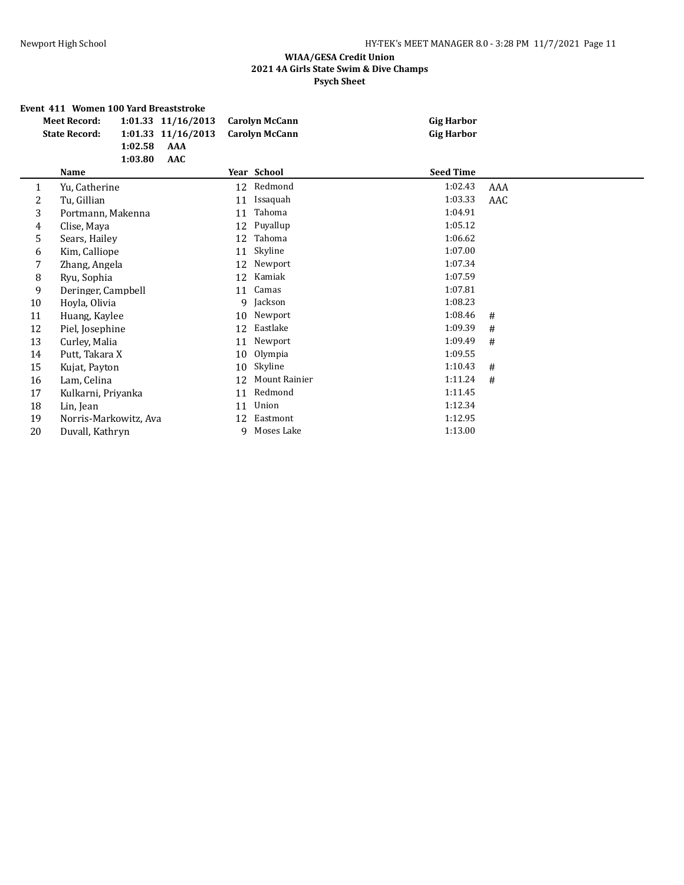#### **Event 411 Women 100 Yard Breaststroke**

|    | русне таа эмениси дее тага ргсазизи екс<br><b>Meet Record:</b><br><b>State Record:</b><br>1:02.58<br>1:03.80 | 1:01.33 11/16/2013<br>1:01.33 11/16/2013<br>AAA<br><b>AAC</b> | <b>Carolyn McCann</b><br><b>Carolyn McCann</b> | <b>Gig Harbor</b><br><b>Gig Harbor</b> |     |
|----|--------------------------------------------------------------------------------------------------------------|---------------------------------------------------------------|------------------------------------------------|----------------------------------------|-----|
|    | Name                                                                                                         |                                                               | Year School                                    | <b>Seed Time</b>                       |     |
| 1  | Yu, Catherine                                                                                                |                                                               | 12 Redmond                                     | 1:02.43                                | AAA |
| 2  | Tu, Gillian                                                                                                  | 11                                                            | Issaquah                                       | 1:03.33                                | AAC |
| 3  | Portmann, Makenna                                                                                            | 11                                                            | Tahoma                                         | 1:04.91                                |     |
| 4  | Clise, Maya                                                                                                  | 12                                                            | Puyallup                                       | 1:05.12                                |     |
| 5  | Sears, Hailey                                                                                                | 12                                                            | Tahoma                                         | 1:06.62                                |     |
| 6  | Kim, Calliope                                                                                                | 11                                                            | Skyline                                        | 1:07.00                                |     |
| 7  | Zhang, Angela                                                                                                | 12                                                            | Newport                                        | 1:07.34                                |     |
| 8  | Ryu, Sophia                                                                                                  | 12                                                            | Kamiak                                         | 1:07.59                                |     |
| 9  | Deringer, Campbell                                                                                           | 11                                                            | Camas                                          | 1:07.81                                |     |
| 10 | Hoyla, Olivia                                                                                                | 9                                                             | Jackson                                        | 1:08.23                                |     |
| 11 | Huang, Kaylee                                                                                                | 10                                                            | Newport                                        | 1:08.46                                | #   |
| 12 | Piel, Josephine                                                                                              | 12                                                            | Eastlake                                       | 1:09.39                                | #   |
| 13 | Curley, Malia                                                                                                | 11                                                            | Newport                                        | 1:09.49                                | #   |
| 14 | Putt, Takara X                                                                                               | 10                                                            | Olympia                                        | 1:09.55                                |     |
| 15 | Kujat, Payton                                                                                                | 10                                                            | Skyline                                        | 1:10.43                                | #   |
| 16 | Lam, Celina                                                                                                  | 12                                                            | Mount Rainier                                  | 1:11.24                                | #   |
| 17 | Kulkarni, Priyanka                                                                                           | 11                                                            | Redmond                                        | 1:11.45                                |     |
| 18 | Lin, Jean                                                                                                    | 11                                                            | Union                                          | 1:12.34                                |     |
| 19 | Norris-Markowitz, Ava                                                                                        | 12                                                            | Eastmont                                       | 1:12.95                                |     |
| 20 | Duvall, Kathryn                                                                                              | q                                                             | Moses Lake                                     | 1:13.00                                |     |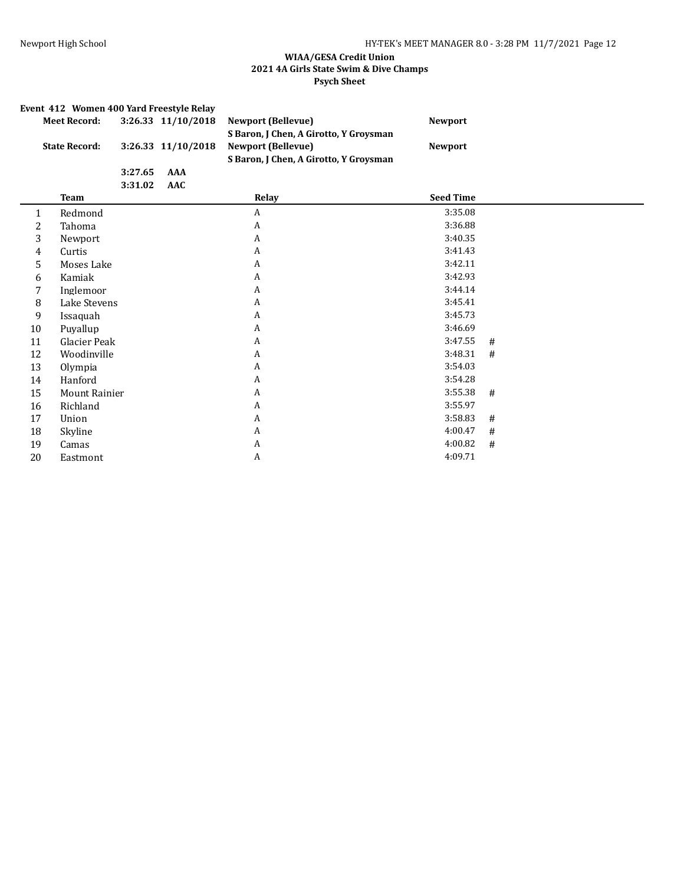|    | Event 412 Women 400 Yard Freestyle Relay |         |                    |                                                                                                               |                  |   |  |  |  |  |  |  |
|----|------------------------------------------|---------|--------------------|---------------------------------------------------------------------------------------------------------------|------------------|---|--|--|--|--|--|--|
|    | <b>Meet Record:</b>                      |         | 3:26.33 11/10/2018 | <b>Newport (Bellevue)</b>                                                                                     | <b>Newport</b>   |   |  |  |  |  |  |  |
|    | <b>State Record:</b>                     |         | 3:26.33 11/10/2018 | S Baron, J Chen, A Girotto, Y Groysman<br><b>Newport (Bellevue)</b><br>S Baron, J Chen, A Girotto, Y Groysman | <b>Newport</b>   |   |  |  |  |  |  |  |
|    |                                          | 3:27.65 | AAA                |                                                                                                               |                  |   |  |  |  |  |  |  |
|    |                                          | 3:31.02 | <b>AAC</b>         |                                                                                                               |                  |   |  |  |  |  |  |  |
|    | <b>Team</b>                              |         |                    | Relay                                                                                                         | <b>Seed Time</b> |   |  |  |  |  |  |  |
| 1  | Redmond                                  |         |                    | A                                                                                                             | 3:35.08          |   |  |  |  |  |  |  |
| 2  | Tahoma                                   |         |                    | A                                                                                                             | 3:36.88          |   |  |  |  |  |  |  |
| 3  | Newport                                  |         |                    | A                                                                                                             | 3:40.35          |   |  |  |  |  |  |  |
| 4  | Curtis                                   |         |                    | A                                                                                                             | 3:41.43          |   |  |  |  |  |  |  |
| 5  | Moses Lake                               |         |                    | A                                                                                                             | 3:42.11          |   |  |  |  |  |  |  |
| 6  | Kamiak                                   |         |                    | A                                                                                                             | 3:42.93          |   |  |  |  |  |  |  |
| 7  | Inglemoor                                |         |                    | A                                                                                                             | 3:44.14          |   |  |  |  |  |  |  |
| 8  | Lake Stevens                             |         |                    | A                                                                                                             | 3:45.41          |   |  |  |  |  |  |  |
| 9  | Issaquah                                 |         |                    | A                                                                                                             | 3:45.73          |   |  |  |  |  |  |  |
| 10 | Puyallup                                 |         |                    | A                                                                                                             | 3:46.69          |   |  |  |  |  |  |  |
| 11 | Glacier Peak                             |         |                    | A                                                                                                             | 3:47.55          | # |  |  |  |  |  |  |
| 12 | Woodinville                              |         |                    | A                                                                                                             | 3:48.31          | # |  |  |  |  |  |  |
| 13 | Olympia                                  |         |                    | A                                                                                                             | 3:54.03          |   |  |  |  |  |  |  |
| 14 | Hanford                                  |         |                    | A                                                                                                             | 3:54.28          |   |  |  |  |  |  |  |
| 15 | <b>Mount Rainier</b>                     |         |                    | A                                                                                                             | 3:55.38          | # |  |  |  |  |  |  |
| 16 | Richland                                 |         |                    | A                                                                                                             | 3:55.97          |   |  |  |  |  |  |  |
| 17 | Union                                    |         |                    | A                                                                                                             | 3:58.83          | # |  |  |  |  |  |  |
| 18 | Skyline                                  |         |                    | A                                                                                                             | 4:00.47          | # |  |  |  |  |  |  |
| 19 | Camas                                    |         |                    | A                                                                                                             | 4:00.82          | # |  |  |  |  |  |  |
| 20 | Eastmont                                 |         |                    | A                                                                                                             | 4:09.71          |   |  |  |  |  |  |  |
|    |                                          |         |                    |                                                                                                               |                  |   |  |  |  |  |  |  |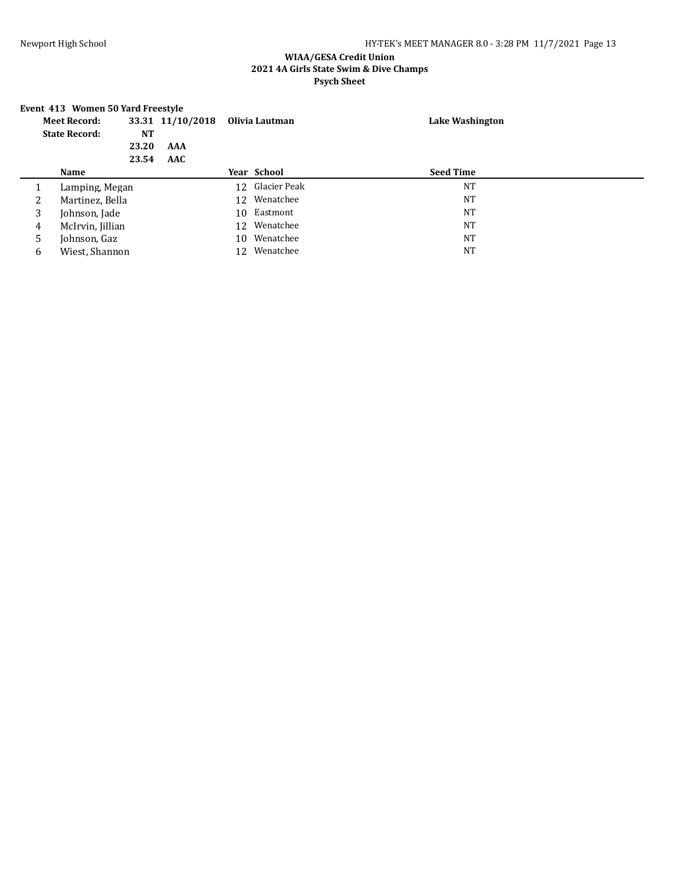# **Event 413 Women 50 Yard Freestyle**

| <b>Meet Record:</b>  |                  |           | 33.31 11/10/2018 |              | Olivia Lautman  | Lake Washington  |  |
|----------------------|------------------|-----------|------------------|--------------|-----------------|------------------|--|
| <b>State Record:</b> |                  | <b>NT</b> |                  |              |                 |                  |  |
|                      |                  | 23.20     | AAA              |              |                 |                  |  |
|                      |                  | 23.54     | AAC              |              |                 |                  |  |
|                      | Name             |           |                  |              | Year School     | <b>Seed Time</b> |  |
|                      | Lamping, Megan   |           |                  |              | 12 Glacier Peak | <b>NT</b>        |  |
| 2                    | Martinez, Bella  |           |                  | 12 Wenatchee | <b>NT</b>       |                  |  |
| 3                    | Johnson, Jade    |           | 10               | Eastmont     | <b>NT</b>       |                  |  |
| 4                    | McIrvin, Jillian |           | 12               | Wenatchee    | <b>NT</b>       |                  |  |
| 5                    | Johnson, Gaz     |           |                  | 10           | Wenatchee       | <b>NT</b>        |  |
| 6                    | Wiest, Shannon   |           |                  | 12           | Wenatchee       | <b>NT</b>        |  |